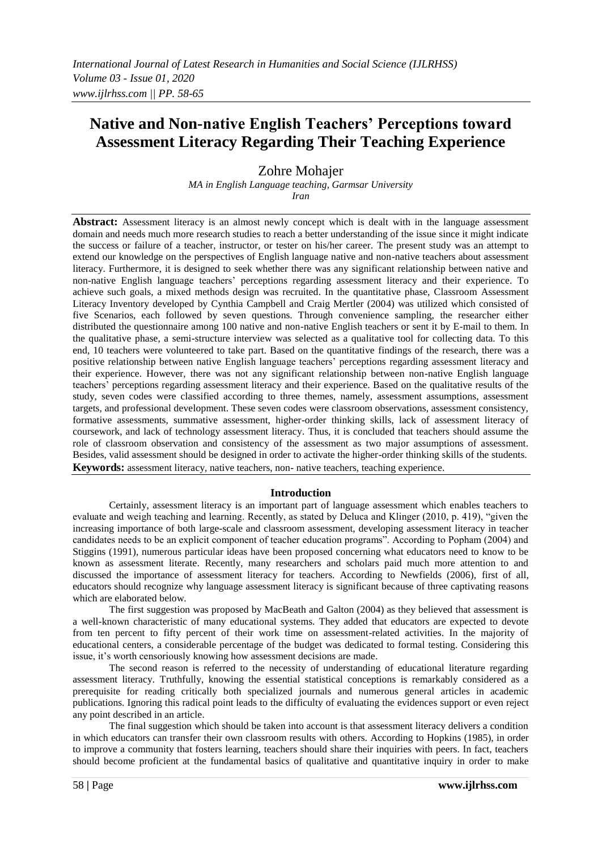# **Native and Non-native English Teachers' Perceptions toward Assessment Literacy Regarding Their Teaching Experience**

Zohre Mohajer

*MA in English Language teaching, Garmsar University Iran*

**Abstract:** Assessment literacy is an almost newly concept which is dealt with in the language assessment domain and needs much more research studies to reach a better understanding of the issue since it might indicate the success or failure of a teacher, instructor, or tester on his/her career. The present study was an attempt to extend our knowledge on the perspectives of English language native and non-native teachers about assessment literacy. Furthermore, it is designed to seek whether there was any significant relationship between native and non-native English language teachers' perceptions regarding assessment literacy and their experience. To achieve such goals, a mixed methods design was recruited. In the quantitative phase, Classroom Assessment Literacy Inventory developed by Cynthia Campbell and Craig Mertler (2004) was utilized which consisted of five Scenarios, each followed by seven questions. Through convenience sampling, the researcher either distributed the questionnaire among 100 native and non-native English teachers or sent it by E-mail to them. In the qualitative phase, a semi-structure interview was selected as a qualitative tool for collecting data. To this end, 10 teachers were volunteered to take part. Based on the quantitative findings of the research, there was a positive relationship between native English language teachers' perceptions regarding assessment literacy and their experience. However, there was not any significant relationship between non-native English language teachers' perceptions regarding assessment literacy and their experience. Based on the qualitative results of the study, seven codes were classified according to three themes, namely, assessment assumptions, assessment targets, and professional development. These seven codes were classroom observations, assessment consistency, formative assessments, summative assessment, higher-order thinking skills, lack of assessment literacy of coursework, and lack of technology assessment literacy. Thus, it is concluded that teachers should assume the role of classroom observation and consistency of the assessment as two major assumptions of assessment. Besides, valid assessment should be designed in order to activate the higher-order thinking skills of the students. **Keywords:** assessment literacy, native teachers, non- native teachers, teaching experience.

#### **Introduction**

Certainly, assessment literacy is an important part of language assessment which enables teachers to evaluate and weigh teaching and learning. Recently, as stated by Deluca and Klinger (2010, p. 419), "given the increasing importance of both large-scale and classroom assessment, developing assessment literacy in teacher candidates needs to be an explicit component of teacher education programs". According to Popham (2004) and Stiggins (1991), numerous particular ideas have been proposed concerning what educators need to know to be known as assessment literate. Recently, many researchers and scholars paid much more attention to and discussed the importance of assessment literacy for teachers. According to Newfields (2006), first of all, educators should recognize why language assessment literacy is significant because of three captivating reasons which are elaborated below.

The first suggestion was proposed by MacBeath and Galton (2004) as they believed that assessment is a well-known characteristic of many educational systems. They added that educators are expected to devote from ten percent to fifty percent of their work time on assessment-related activities. In the majority of educational centers, a considerable percentage of the budget was dedicated to formal testing. Considering this issue, it's worth censoriously knowing how assessment decisions are made.

The second reason is referred to the necessity of understanding of educational literature regarding assessment literacy. Truthfully, knowing the essential statistical conceptions is remarkably considered as a prerequisite for reading critically both specialized journals and numerous general articles in academic publications. Ignoring this radical point leads to the difficulty of evaluating the evidences support or even reject any point described in an article.

The final suggestion which should be taken into account is that assessment literacy delivers a condition in which educators can transfer their own classroom results with others. According to Hopkins (1985), in order to improve a community that fosters learning, teachers should share their inquiries with peers. In fact, teachers should become proficient at the fundamental basics of qualitative and quantitative inquiry in order to make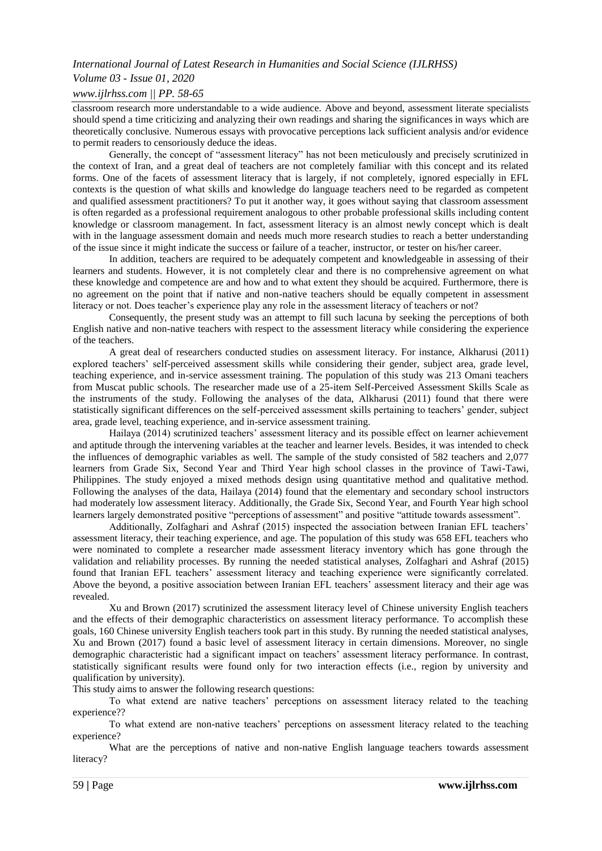# *Volume 03 - Issue 01, 2020*

# *www.ijlrhss.com || PP. 58-65*

classroom research more understandable to a wide audience. Above and beyond, assessment literate specialists should spend a time criticizing and analyzing their own readings and sharing the significances in ways which are theoretically conclusive. Numerous essays with provocative perceptions lack sufficient analysis and/or evidence to permit readers to censoriously deduce the ideas.

Generally, the concept of "assessment literacy" has not been meticulously and precisely scrutinized in the context of Iran, and a great deal of teachers are not completely familiar with this concept and its related forms. One of the facets of assessment literacy that is largely, if not completely, ignored especially in EFL contexts is the question of what skills and knowledge do language teachers need to be regarded as competent and qualified assessment practitioners? To put it another way, it goes without saying that classroom assessment is often regarded as a professional requirement analogous to other probable professional skills including content knowledge or classroom management. In fact, assessment literacy is an almost newly concept which is dealt with in the language assessment domain and needs much more research studies to reach a better understanding of the issue since it might indicate the success or failure of a teacher, instructor, or tester on his/her career.

In addition, teachers are required to be adequately competent and knowledgeable in assessing of their learners and students. However, it is not completely clear and there is no comprehensive agreement on what these knowledge and competence are and how and to what extent they should be acquired. Furthermore, there is no agreement on the point that if native and non-native teachers should be equally competent in assessment literacy or not. Does teacher's experience play any role in the assessment literacy of teachers or not?

Consequently, the present study was an attempt to fill such lacuna by seeking the perceptions of both English native and non-native teachers with respect to the assessment literacy while considering the experience of the teachers.

A great deal of researchers conducted studies on assessment literacy. For instance, Alkharusi (2011) explored teachers' self-perceived assessment skills while considering their gender, subject area, grade level, teaching experience, and in-service assessment training. The population of this study was 213 Omani teachers from Muscat public schools. The researcher made use of a 25-item Self-Perceived Assessment Skills Scale as the instruments of the study. Following the analyses of the data, Alkharusi (2011) found that there were statistically significant differences on the self-perceived assessment skills pertaining to teachers' gender, subject area, grade level, teaching experience, and in-service assessment training.

Hailaya (2014) scrutinized teachers' assessment literacy and its possible effect on learner achievement and aptitude through the intervening variables at the teacher and learner levels. Besides, it was intended to check the influences of demographic variables as well. The sample of the study consisted of 582 teachers and 2,077 learners from Grade Six, Second Year and Third Year high school classes in the province of Tawi-Tawi, Philippines. The study enjoyed a mixed methods design using quantitative method and qualitative method. Following the analyses of the data, Hailaya (2014) found that the elementary and secondary school instructors had moderately low assessment literacy. Additionally, the Grade Six, Second Year, and Fourth Year high school learners largely demonstrated positive "perceptions of assessment" and positive "attitude towards assessment".

Additionally, Zolfaghari and Ashraf (2015) inspected the association between Iranian EFL teachers' assessment literacy, their teaching experience, and age. The population of this study was 658 EFL teachers who were nominated to complete a researcher made assessment literacy inventory which has gone through the validation and reliability processes. By running the needed statistical analyses, Zolfaghari and Ashraf (2015) found that Iranian EFL teachers' assessment literacy and teaching experience were significantly correlated. Above the beyond, a positive association between Iranian EFL teachers' assessment literacy and their age was revealed.

Xu and Brown (2017) scrutinized the assessment literacy level of Chinese university English teachers and the effects of their demographic characteristics on assessment literacy performance. To accomplish these goals, 160 Chinese university English teachers took part in this study. By running the needed statistical analyses, Xu and Brown (2017) found a basic level of assessment literacy in certain dimensions. Moreover, no single demographic characteristic had a significant impact on teachers' assessment literacy performance. In contrast, statistically significant results were found only for two interaction effects (i.e., region by university and qualification by university).

This study aims to answer the following research questions:

To what extend are native teachers' perceptions on assessment literacy related to the teaching experience??

To what extend are non-native teachers' perceptions on assessment literacy related to the teaching experience?

What are the perceptions of native and non-native English language teachers towards assessment literacy?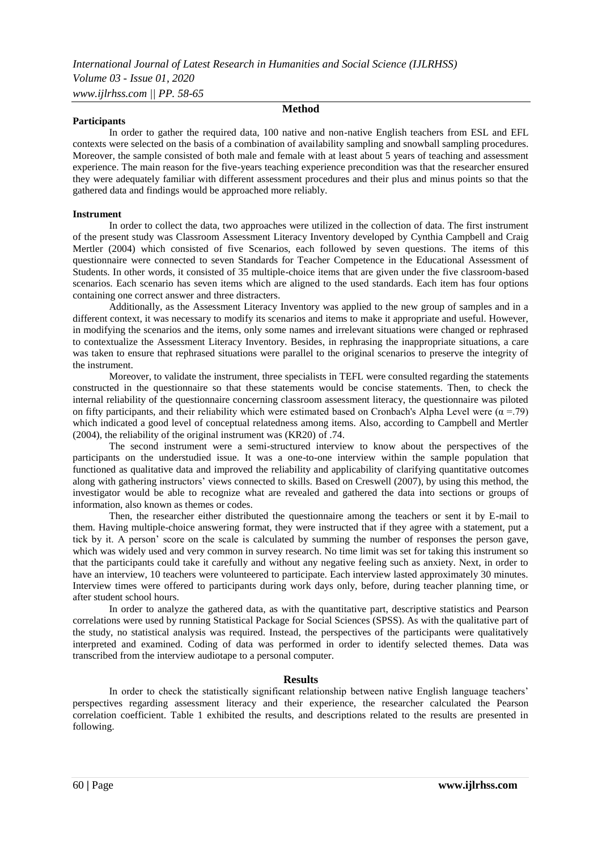#### **Participants**

#### **Method**

In order to gather the required data, 100 native and non-native English teachers from ESL and EFL contexts were selected on the basis of a combination of availability sampling and snowball sampling procedures. Moreover, the sample consisted of both male and female with at least about 5 years of teaching and assessment experience. The main reason for the five-years teaching experience precondition was that the researcher ensured they were adequately familiar with different assessment procedures and their plus and minus points so that the gathered data and findings would be approached more reliably.

#### **Instrument**

In order to collect the data, two approaches were utilized in the collection of data. The first instrument of the present study was Classroom Assessment Literacy Inventory developed by Cynthia Campbell and Craig Mertler (2004) which consisted of five Scenarios, each followed by seven questions. The items of this questionnaire were connected to seven Standards for Teacher Competence in the Educational Assessment of Students. In other words, it consisted of 35 multiple-choice items that are given under the five classroom-based scenarios. Each scenario has seven items which are aligned to the used standards. Each item has four options containing one correct answer and three distracters.

Additionally, as the Assessment Literacy Inventory was applied to the new group of samples and in a different context, it was necessary to modify its scenarios and items to make it appropriate and useful. However, in modifying the scenarios and the items, only some names and irrelevant situations were changed or rephrased to contextualize the Assessment Literacy Inventory. Besides, in rephrasing the inappropriate situations, a care was taken to ensure that rephrased situations were parallel to the original scenarios to preserve the integrity of the instrument.

Moreover, to validate the instrument, three specialists in TEFL were consulted regarding the statements constructed in the questionnaire so that these statements would be concise statements. Then, to check the internal reliability of the questionnaire concerning classroom assessment literacy, the questionnaire was piloted on fifty participants, and their reliability which were estimated based on Cronbach's Alpha Level were  $(\alpha = .79)$ which indicated a good level of conceptual relatedness among items. Also, according to Campbell and Mertler (2004), the reliability of the original instrument was (KR20) of .74.

The second instrument were a semi-structured interview to know about the perspectives of the participants on the understudied issue. It was a one-to-one interview within the sample population that functioned as qualitative data and improved the reliability and applicability of clarifying quantitative outcomes along with gathering instructors' views connected to skills. Based on Creswell (2007), by using this method, the investigator would be able to recognize what are revealed and gathered the data into sections or groups of information, also known as themes or codes.

Then, the researcher either distributed the questionnaire among the teachers or sent it by E-mail to them. Having multiple-choice answering format, they were instructed that if they agree with a statement, put a tick by it. A person' score on the scale is calculated by summing the number of responses the person gave, which was widely used and very common in survey research. No time limit was set for taking this instrument so that the participants could take it carefully and without any negative feeling such as anxiety. Next, in order to have an interview, 10 teachers were volunteered to participate. Each interview lasted approximately 30 minutes. Interview times were offered to participants during work days only, before, during teacher planning time, or after student school hours.

In order to analyze the gathered data, as with the quantitative part, descriptive statistics and Pearson correlations were used by running Statistical Package for Social Sciences (SPSS). As with the qualitative part of the study, no statistical analysis was required. Instead, the perspectives of the participants were qualitatively interpreted and examined. Coding of data was performed in order to identify selected themes. Data was transcribed from the interview audiotape to a personal computer.

#### **Results**

In order to check the statistically significant relationship between native English language teachers' perspectives regarding assessment literacy and their experience, the researcher calculated the Pearson correlation coefficient. Table 1 exhibited the results, and descriptions related to the results are presented in following.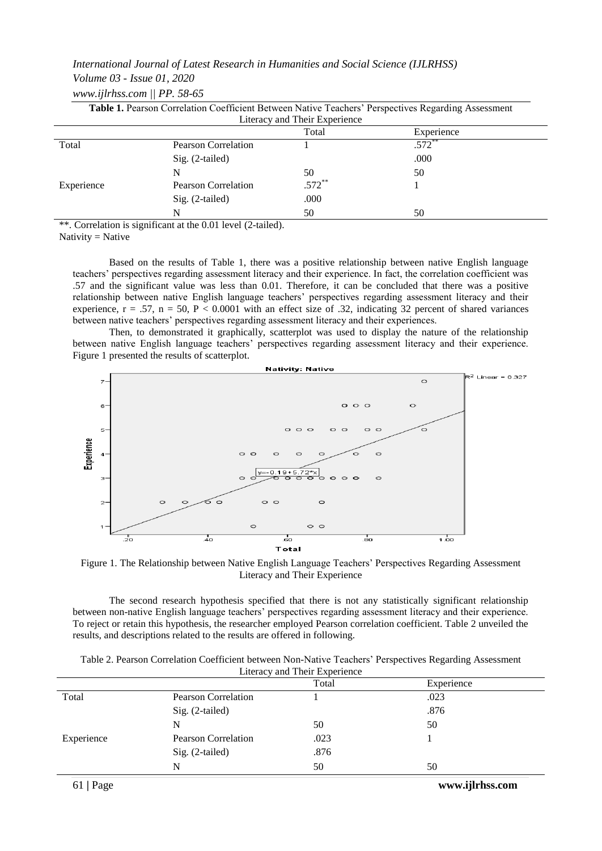#### *Volume 03 - Issue 01, 2020*

| Table 1. Pearson Correlation Coefficient Between Native Teachers' Perspectives Regarding Assessment |                            |                                        |            |  |
|-----------------------------------------------------------------------------------------------------|----------------------------|----------------------------------------|------------|--|
|                                                                                                     |                            | Literacy and Their Experience<br>Total | Experience |  |
| Total                                                                                               | <b>Pearson Correlation</b> |                                        | $.572$ **  |  |
|                                                                                                     | $Sig. (2-tailed)$          |                                        | .000       |  |
|                                                                                                     | N                          | 50                                     | 50         |  |
| Experience                                                                                          | Pearson Correlation        | $.572***$                              |            |  |
|                                                                                                     | $Sig. (2-tailed)$          | .000                                   |            |  |
|                                                                                                     | N                          | 50                                     | 50         |  |

\*\*. Correlation is significant at the 0.01 level (2-tailed).

Nativity = Native

Based on the results of Table 1, there was a positive relationship between native English language teachers' perspectives regarding assessment literacy and their experience. In fact, the correlation coefficient was .57 and the significant value was less than 0.01. Therefore, it can be concluded that there was a positive relationship between native English language teachers' perspectives regarding assessment literacy and their experience,  $r = .57$ ,  $n = 50$ ,  $P < 0.0001$  with an effect size of .32, indicating 32 percent of shared variances between native teachers' perspectives regarding assessment literacy and their experiences.

Then, to demonstrated it graphically, scatterplot was used to display the nature of the relationship between native English language teachers' perspectives regarding assessment literacy and their experience. Figure 1 presented the results of scatterplot.



Figure 1. The Relationship between Native English Language Teachers' Perspectives Regarding Assessment Literacy and Their Experience

The second research hypothesis specified that there is not any statistically significant relationship between non-native English language teachers' perspectives regarding assessment literacy and their experience. To reject or retain this hypothesis, the researcher employed Pearson correlation coefficient. Table 2 unveiled the results, and descriptions related to the results are offered in following.

| Table 2. Pearson Correlation Coefficient between Non-Native Teachers' Perspectives Regarding Assessment |  |
|---------------------------------------------------------------------------------------------------------|--|
| Literacy and Their Experience                                                                           |  |

|            |                            | Total | Experience |  |
|------------|----------------------------|-------|------------|--|
| Total      | <b>Pearson Correlation</b> |       | .023       |  |
|            | Sig. (2-tailed)            |       | .876       |  |
|            | N                          | 50    | 50         |  |
| Experience | Pearson Correlation        | .023  |            |  |
|            | Sig. (2-tailed)            | .876  |            |  |
|            | N                          | 50    | 50         |  |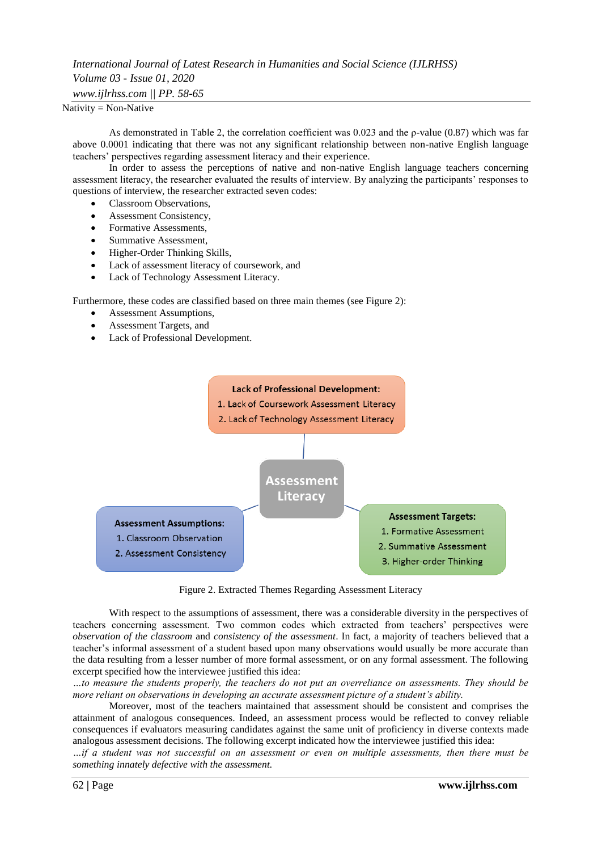# *International Journal of Latest Research in Humanities and Social Science (IJLRHSS) Volume 03 - Issue 01, 2020 www.ijlrhss.com || PP. 58-65*

 $N$ ativity = Non-Native

As demonstrated in Table 2, the correlation coefficient was 0.023 and the ρ-value (0.87) which was far above 0.0001 indicating that there was not any significant relationship between non-native English language teachers' perspectives regarding assessment literacy and their experience.

In order to assess the perceptions of native and non-native English language teachers concerning assessment literacy, the researcher evaluated the results of interview. By analyzing the participants' responses to questions of interview, the researcher extracted seven codes:

- Classroom Observations,
- Assessment Consistency,
- Formative Assessments,
- Summative Assessment,
- Higher-Order Thinking Skills,
- Lack of assessment literacy of coursework, and
- Lack of Technology Assessment Literacy.

Furthermore, these codes are classified based on three main themes (see Figure 2):

- Assessment Assumptions,
- Assessment Targets, and
- Lack of Professional Development.



Figure 2. Extracted Themes Regarding Assessment Literacy

With respect to the assumptions of assessment, there was a considerable diversity in the perspectives of teachers concerning assessment. Two common codes which extracted from teachers' perspectives were *observation of the classroom* and *consistency of the assessment*. In fact, a majority of teachers believed that a teacher's informal assessment of a student based upon many observations would usually be more accurate than the data resulting from a lesser number of more formal assessment, or on any formal assessment. The following excerpt specified how the interviewee justified this idea:

*…to measure the students properly, the teachers do not put an overreliance on assessments. They should be more reliant on observations in developing an accurate assessment picture of a student's ability.*

Moreover, most of the teachers maintained that assessment should be consistent and comprises the attainment of analogous consequences. Indeed, an assessment process would be reflected to convey reliable consequences if evaluators measuring candidates against the same unit of proficiency in diverse contexts made analogous assessment decisions. The following excerpt indicated how the interviewee justified this idea:

*…if a student was not successful on an assessment or even on multiple assessments, then there must be something innately defective with the assessment.*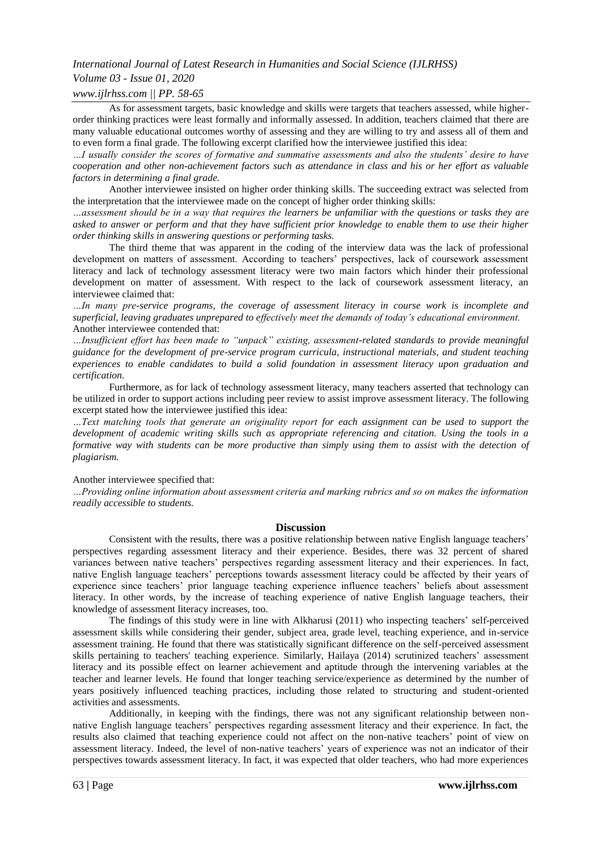# *Volume 03 - Issue 01, 2020*

# *www.ijlrhss.com || PP. 58-65*

As for assessment targets, basic knowledge and skills were targets that teachers assessed, while higherorder thinking practices were least formally and informally assessed. In addition, teachers claimed that there are many valuable educational outcomes worthy of assessing and they are willing to try and assess all of them and to even form a final grade. The following excerpt clarified how the interviewee justified this idea:

*…I usually consider the scores of formative and summative assessments and also the students' desire to have cooperation and other non-achievement factors such as attendance in class and his or her effort as valuable factors in determining a final grade.*

Another interviewee insisted on higher order thinking skills. The succeeding extract was selected from the interpretation that the interviewee made on the concept of higher order thinking skills:

*…assessment should be in a way that requires the learners be unfamiliar with the questions or tasks they are asked to answer or perform and that they have sufficient prior knowledge to enable them to use their higher order thinking skills in answering questions or performing tasks.*

The third theme that was apparent in the coding of the interview data was the lack of professional development on matters of assessment. According to teachers' perspectives, lack of coursework assessment literacy and lack of technology assessment literacy were two main factors which hinder their professional development on matter of assessment. With respect to the lack of coursework assessment literacy, an interviewee claimed that:

*…In many pre-service programs, the coverage of assessment literacy in course work is incomplete and superficial, leaving graduates unprepared to effectively meet the demands of today's educational environment.*  Another interviewee contended that:

*…Insufficient effort has been made to "unpack" existing, assessment-related standards to provide meaningful guidance for the development of pre-service program curricula, instructional materials, and student teaching experiences to enable candidates to build a solid foundation in assessment literacy upon graduation and certification.* 

Furthermore, as for lack of technology assessment literacy, many teachers asserted that technology can be utilized in order to support actions including peer review to assist improve assessment literacy. The following excerpt stated how the interviewee justified this idea:

*…Text matching tools that generate an originality report for each assignment can be used to support the development of academic writing skills such as appropriate referencing and citation. Using the tools in a formative way with students can be more productive than simply using them to assist with the detection of plagiarism.*

#### Another interviewee specified that:

*…Providing online information about assessment criteria and marking rubrics and so on makes the information readily accessible to students.*

#### **Discussion**

Consistent with the results, there was a positive relationship between native English language teachers' perspectives regarding assessment literacy and their experience. Besides, there was 32 percent of shared variances between native teachers' perspectives regarding assessment literacy and their experiences. In fact, native English language teachers' perceptions towards assessment literacy could be affected by their years of experience since teachers' prior language teaching experience influence teachers' beliefs about assessment literacy. In other words, by the increase of teaching experience of native English language teachers, their knowledge of assessment literacy increases, too.

The findings of this study were in line with Alkharusi (2011) who inspecting teachers' self-perceived assessment skills while considering their gender, subject area, grade level, teaching experience, and in-service assessment training. He found that there was statistically significant difference on the self-perceived assessment skills pertaining to teachers' teaching experience. Similarly, Hailaya (2014) scrutinized teachers' assessment literacy and its possible effect on learner achievement and aptitude through the intervening variables at the teacher and learner levels. He found that longer teaching service/experience as determined by the number of years positively influenced teaching practices, including those related to structuring and student-oriented activities and assessments.

Additionally, in keeping with the findings, there was not any significant relationship between nonnative English language teachers' perspectives regarding assessment literacy and their experience. In fact, the results also claimed that teaching experience could not affect on the non-native teachers' point of view on assessment literacy. Indeed, the level of non-native teachers' years of experience was not an indicator of their perspectives towards assessment literacy. In fact, it was expected that older teachers, who had more experiences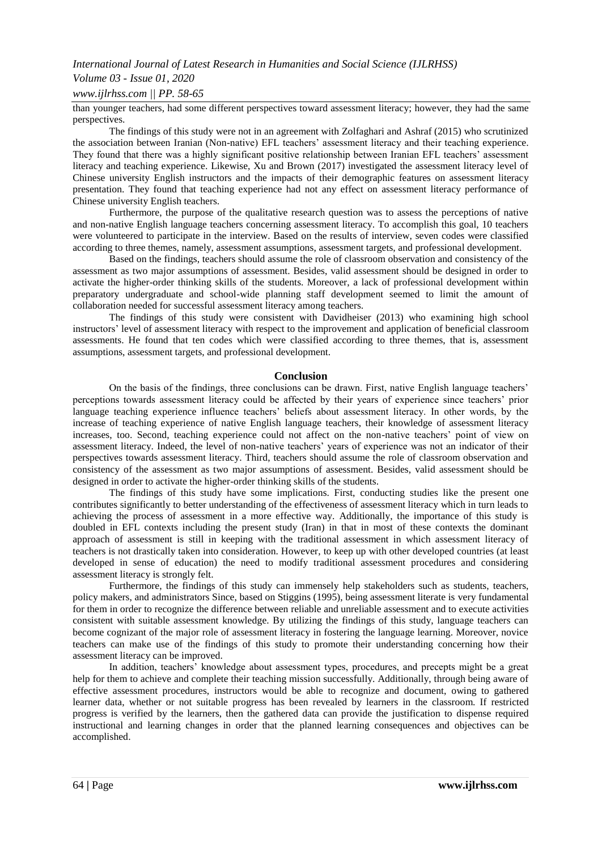# *Volume 03 - Issue 01, 2020*

### *www.ijlrhss.com || PP. 58-65*

than younger teachers, had some different perspectives toward assessment literacy; however, they had the same perspectives.

The findings of this study were not in an agreement with Zolfaghari and Ashraf (2015) who scrutinized the association between Iranian (Non-native) EFL teachers' assessment literacy and their teaching experience. They found that there was a highly significant positive relationship between Iranian EFL teachers' assessment literacy and teaching experience. Likewise, Xu and Brown (2017) investigated the assessment literacy level of Chinese university English instructors and the impacts of their demographic features on assessment literacy presentation. They found that teaching experience had not any effect on assessment literacy performance of Chinese university English teachers.

Furthermore, the purpose of the qualitative research question was to assess the perceptions of native and non-native English language teachers concerning assessment literacy. To accomplish this goal, 10 teachers were volunteered to participate in the interview. Based on the results of interview, seven codes were classified according to three themes, namely, assessment assumptions, assessment targets, and professional development.

Based on the findings, teachers should assume the role of classroom observation and consistency of the assessment as two major assumptions of assessment. Besides, valid assessment should be designed in order to activate the higher-order thinking skills of the students. Moreover, a lack of professional development within preparatory undergraduate and school-wide planning staff development seemed to limit the amount of collaboration needed for successful assessment literacy among teachers.

The findings of this study were consistent with Davidheiser (2013) who examining high school instructors' level of assessment literacy with respect to the improvement and application of beneficial classroom assessments. He found that ten codes which were classified according to three themes, that is, assessment assumptions, assessment targets, and professional development.

#### **Conclusion**

On the basis of the findings, three conclusions can be drawn. First, native English language teachers' perceptions towards assessment literacy could be affected by their years of experience since teachers' prior language teaching experience influence teachers' beliefs about assessment literacy. In other words, by the increase of teaching experience of native English language teachers, their knowledge of assessment literacy increases, too. Second, teaching experience could not affect on the non-native teachers' point of view on assessment literacy. Indeed, the level of non-native teachers' years of experience was not an indicator of their perspectives towards assessment literacy. Third, teachers should assume the role of classroom observation and consistency of the assessment as two major assumptions of assessment. Besides, valid assessment should be designed in order to activate the higher-order thinking skills of the students.

The findings of this study have some implications. First, conducting studies like the present one contributes significantly to better understanding of the effectiveness of assessment literacy which in turn leads to achieving the process of assessment in a more effective way. Additionally, the importance of this study is doubled in EFL contexts including the present study (Iran) in that in most of these contexts the dominant approach of assessment is still in keeping with the traditional assessment in which assessment literacy of teachers is not drastically taken into consideration. However, to keep up with other developed countries (at least developed in sense of education) the need to modify traditional assessment procedures and considering assessment literacy is strongly felt.

Furthermore, the findings of this study can immensely help stakeholders such as students, teachers, policy makers, and administrators Since, based on Stiggins (1995), being assessment literate is very fundamental for them in order to recognize the difference between reliable and unreliable assessment and to execute activities consistent with suitable assessment knowledge. By utilizing the findings of this study, language teachers can become cognizant of the major role of assessment literacy in fostering the language learning. Moreover, novice teachers can make use of the findings of this study to promote their understanding concerning how their assessment literacy can be improved.

In addition, teachers' knowledge about assessment types, procedures, and precepts might be a great help for them to achieve and complete their teaching mission successfully. Additionally, through being aware of effective assessment procedures, instructors would be able to recognize and document, owing to gathered learner data, whether or not suitable progress has been revealed by learners in the classroom. If restricted progress is verified by the learners, then the gathered data can provide the justification to dispense required instructional and learning changes in order that the planned learning consequences and objectives can be accomplished.